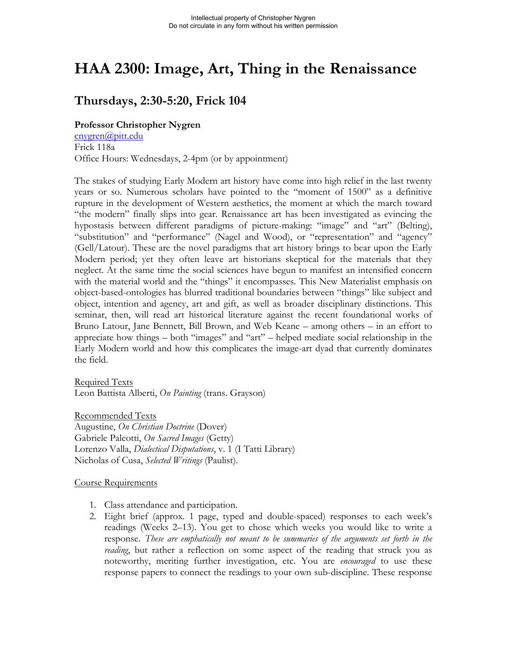# **HAA 2300: Image, Art, Thing in the Renaissance**

# **Thursdays, 2:30-5:20, Frick 104**

### **Professor Christopher Nygren**

cnygren@pitt.edu Frick 118a Office Hours: Wednesdays, 2-4pm (or by appointment)

The stakes of studying Early Modern art history have come into high relief in the last twenty years or so. Numerous scholars have pointed to the "moment of 1500" as a definitive rupture in the development of Western aesthetics, the moment at which the march toward "the modern" finally slips into gear. Renaissance art has been investigated as evincing the hypostasis between different paradigms of picture-making: "image" and "art" (Belting), "substitution" and "performance" (Nagel and Wood), or "representation" and "agency" (Gell/Latour). These are the novel paradigms that art history brings to bear upon the Early Modern period; yet they often leave art historians skeptical for the materials that they neglect. At the same time the social sciences have begun to manifest an intensified concern with the material world and the "things" it encompasses. This New Materialist emphasis on object-based-ontologies has blurred traditional boundaries between "things" like subject and object, intention and agency, art and gift, as well as broader disciplinary distinctions. This seminar, then, will read art historical literature against the recent foundational works of Bruno Latour, Jane Bennett, Bill Brown, and Web Keane – among others – in an effort to appreciate how things – both "images" and "art" – helped mediate social relationship in the Early Modern world and how this complicates the image-art dyad that currently dominates the field.

Required Texts Leon Battista Alberti, *On Painting* (trans. Grayson)

Recommended Texts Augustine, *On Christian Doctrine* (Dover) Gabriele Paleotti, *On Sacred Images* (Getty) Lorenzo Valla, *Dialectical Disputations*, v. 1 (I Tatti Library) Nicholas of Cusa, *Selected Writings* (Paulist).

#### Course Requirements

- 1. Class attendance and participation.
- 2. Eight brief (approx. 1 page, typed and double-spaced) responses to each week's readings (Weeks 2–13). You get to chose which weeks you would like to write a response. *These are emphatically not meant to be summaries of the arguments set forth in the reading*, but rather a reflection on some aspect of the reading that struck you as noteworthy, meriting further investigation, etc. You are *encouraged* to use these response papers to connect the readings to your own sub-discipline. These response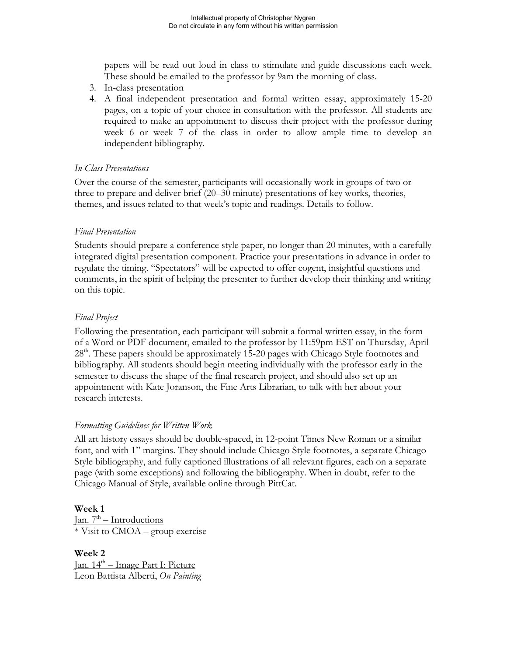papers will be read out loud in class to stimulate and guide discussions each week. These should be emailed to the professor by 9am the morning of class.

- 3. In-class presentation
- 4. A final independent presentation and formal written essay, approximately 15-20 pages, on a topic of your choice in consultation with the professor. All students are required to make an appointment to discuss their project with the professor during week 6 or week 7 of the class in order to allow ample time to develop an independent bibliography.

### *In-Class Presentations*

Over the course of the semester, participants will occasionally work in groups of two or three to prepare and deliver brief (20–30 minute) presentations of key works, theories, themes, and issues related to that week's topic and readings. Details to follow.

# *Final Presentation*

Students should prepare a conference style paper, no longer than 20 minutes, with a carefully integrated digital presentation component. Practice your presentations in advance in order to regulate the timing. "Spectators" will be expected to offer cogent, insightful questions and comments, in the spirit of helping the presenter to further develop their thinking and writing on this topic.

#### *Final Project*

Following the presentation, each participant will submit a formal written essay, in the form of a Word or PDF document, emailed to the professor by 11:59pm EST on Thursday, April 28<sup>th</sup>. These papers should be approximately 15-20 pages with Chicago Style footnotes and bibliography. All students should begin meeting individually with the professor early in the semester to discuss the shape of the final research project, and should also set up an appointment with Kate Joranson, the Fine Arts Librarian, to talk with her about your research interests.

# *Formatting Guidelines for Written Work*

All art history essays should be double-spaced, in 12-point Times New Roman or a similar font, and with 1" margins. They should include Chicago Style footnotes, a separate Chicago Style bibliography, and fully captioned illustrations of all relevant figures, each on a separate page (with some exceptions) and following the bibliography. When in doubt, refer to the Chicago Manual of Style, available online through PittCat.

# **Week 1**

Jan.  $7<sup>th</sup>$  – Introductions \* Visit to CMOA – group exercise

**Week 2** Jan.  $14<sup>th</sup>$  – Image Part I: Picture Leon Battista Alberti, *On Painting*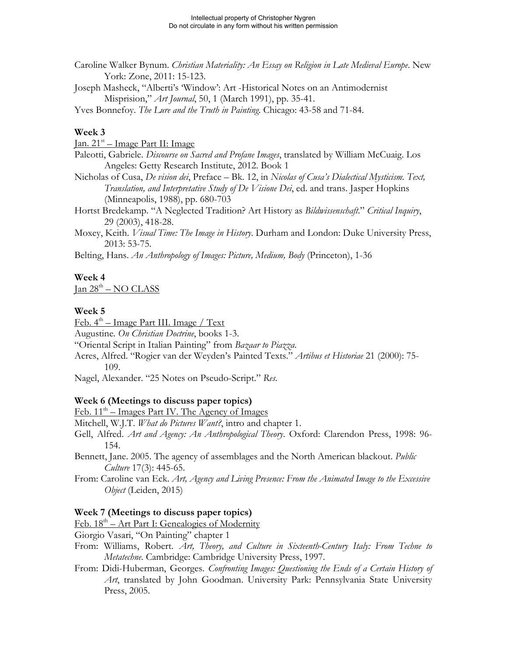- Caroline Walker Bynum. *Christian Materiality: An Essay on Religion in Late Medieval Europe*. New York: Zone, 2011: 15-123.
- Joseph Masheck, "Alberti's 'Window': Art -Historical Notes on an Antimodernist Misprision," *Art Journal*, 50, 1 (March 1991), pp. 35-41.

Yves Bonnefoy. *The Lure and the Truth in Painting*. Chicago: 43-58 and 71-84.

# **Week 3**

 $Jan. 21<sup>st</sup> – Image Part II: Image$ 

- Paleotti, Gabriele. *Discourse on Sacred and Profane Images*, translated by William McCuaig. Los Angeles: Getty Research Institute, 2012. Book 1
- Nicholas of Cusa, *De vision dei*, Preface Bk. 12, in *Nicolas of Cusa's Dialectical Mysticism. Text, Translation, and Interpretative Study of De Visione Dei*, ed. and trans. Jasper Hopkins (Minneapolis, 1988), pp. 680-703
- Hortst Bredekamp. "A Neglected Tradition? Art History as *Bildwissenschaft*." *Critical Inquiry*, 29 (2003), 418-28.
- Moxey, Keith. *Visual Time: The Image in History*. Durham and London: Duke University Press, 2013: 53-75.
- Belting, Hans. *An Anthropology of Images: Picture, Medium, Body* (Princeton), 1-36

# **Week 4**

 $Jan 28<sup>th</sup> - NO CLASS$ 

# **Week 5**

Feb.  $4<sup>th</sup>$  – Image Part III. Image / Text

Augustine. *On Christian Doctrine*, books 1-3.

"Oriental Script in Italian Painting" from *Bazaar to Piazza*.

Acres, Alfred. "Rogier van der Weyden's Painted Texts." *Artibus et Historiae* 21 (2000): 75- 109.

Nagel, Alexander. "25 Notes on Pseudo-Script." *Res*.

# **Week 6 (Meetings to discuss paper topics)**

 $\text{Feb. } 11^{\text{th}} - \text{Images Part IV.}$  The Agency of Images

Mitchell, W.J.T. *What do Pictures Want?*, intro and chapter 1.

Gell, Alfred. *Art and Agency: An Anthropological Theory*. Oxford: Clarendon Press, 1998: 96- 154.

Bennett, Jane. 2005. The agency of assemblages and the North American blackout. *Public Culture* 17(3): 445-65.

From: Caroline van Eck. *Art, Agency and Living Presence: From the Animated Image to the Excessive Object* (Leiden, 2015)

# **Week 7 (Meetings to discuss paper topics)**

 $Feb. 18<sup>th</sup> – Art Part I: Genealogies of Modernity$ </u>

Giorgio Vasari, "On Painting" chapter 1

- From: Williams, Robert. *Art, Theory, and Culture in Sixteenth-Century Italy: From Techne to Metatechne*. Cambridge: Cambridge University Press, 1997.
- From: Didi-Huberman, Georges. *Confronting Images: Questioning the Ends of a Certain History of Art*, translated by John Goodman. University Park: Pennsylvania State University Press, 2005.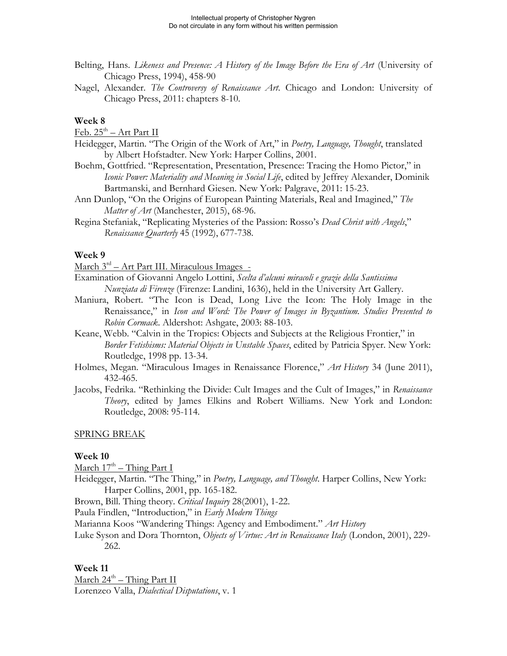- Belting, Hans. *Likeness and Presence: A History of the Image Before the Era of Art* (University of Chicago Press, 1994), 458-90
- Nagel, Alexander. *The Controversy of Renaissance Art*. Chicago and London: University of Chicago Press, 2011: chapters 8-10.

#### **Week 8**

 $Feb. 25<sup>th</sup> - Art Part II$ 

- Heidegger, Martin. "The Origin of the Work of Art," in *Poetry, Language, Thought*, translated by Albert Hofstadter. New York: Harper Collins, 2001.
- Boehm, Gottfried. "Representation, Presentation, Presence: Tracing the Homo Pictor," in *Iconic Power: Materiality and Meaning in Social Life*, edited by Jeffrey Alexander, Dominik Bartmanski, and Bernhard Giesen. New York: Palgrave, 2011: 15-23.
- Ann Dunlop, "On the Origins of European Painting Materials, Real and Imagined," *The Matter of Art* (Manchester, 2015), 68-96.
- Regina Stefaniak, "Replicating Mysteries of the Passion: Rosso's *Dead Christ with Angels*," *Renaissance Quarterly* 45 (1992), 677-738.

#### **Week 9**

March 3rd – Art Part III. Miraculous Images -

- Examination of Giovanni Angelo Lottini, *Scelta d'alcuni miracoli e grazie della Santissima Nunziata di Firenze* (Firenze: Landini, 1636), held in the University Art Gallery.
- Maniura, Robert. "The Icon is Dead, Long Live the Icon: The Holy Image in the Renaissance," in *Icon and Word: The Power of Images in Byzantium. Studies Presented to Robin Cormack*. Aldershot: Ashgate, 2003: 88-103.
- Keane, Webb. "Calvin in the Tropics: Objects and Subjects at the Religious Frontier," in *Border Fetishisms: Material Objects in Unstable Spaces*, edited by Patricia Spyer. New York: Routledge, 1998 pp. 13-34.
- Holmes, Megan. "Miraculous Images in Renaissance Florence," *Art History* 34 (June 2011), 432-465.
- Jacobs, Fedrika. "Rethinking the Divide: Cult Images and the Cult of Images," in *Renaissance Theory*, edited by James Elkins and Robert Williams. New York and London: Routledge, 2008: 95-114.

#### SPRING BREAK

#### **Week 10**

March  $17^{\text{th}}$  – Thing Part I

- Heidegger, Martin. "The Thing," in *Poetry, Language, and Thought*. Harper Collins, New York: Harper Collins, 2001, pp. 165-182.
- Brown, Bill. Thing theory. *Critical Inquiry* 28(2001), 1-22.

Paula Findlen, "Introduction," in *Early Modern Things* 

Marianna Koos "Wandering Things: Agency and Embodiment." *Art History* 

Luke Syson and Dora Thornton, *Objects of Virtue: Art in Renaissance Italy* (London, 2001), 229- 262.

#### **Week 11**

March  $24^{th}$  – Thing Part II Lorenzeo Valla, *Dialectical Disputations*, v. 1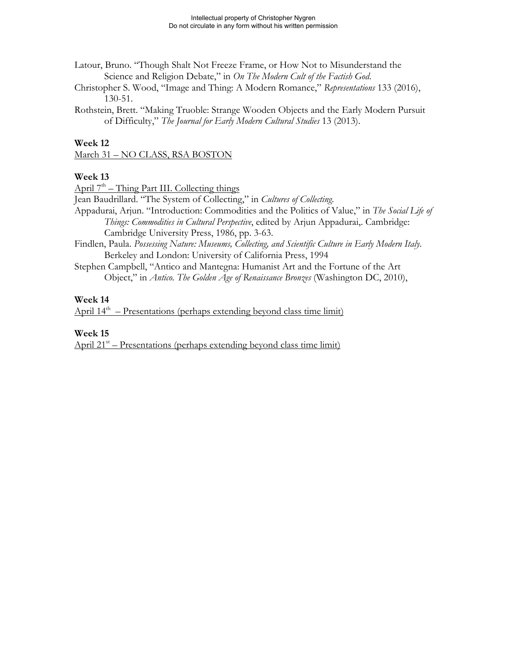- Latour, Bruno. "Though Shalt Not Freeze Frame, or How Not to Misunderstand the Science and Religion Debate," in *On The Modern Cult of the Factish God*.
- Christopher S. Wood, "Image and Thing: A Modern Romance," *Representations* 133 (2016), 130-51.
- Rothstein, Brett. "Making Truoble: Strange Wooden Objects and the Early Modern Pursuit of Difficulty," *The Journal for Early Modern Cultural Studies* 13 (2013).

#### **Week 12**

March 31 – NO CLASS, RSA BOSTON

#### **Week 13**

April  $7<sup>th</sup>$  – Thing Part III. Collecting things

Jean Baudrillard. "The System of Collecting," in *Cultures of Collecting*.

- Appadurai, Arjun. "Introduction: Commodities and the Politics of Value," in *The Social Life of Things: Commodities in Cultural Perspective*, edited by Arjun Appadurai,. Cambridge: Cambridge University Press, 1986, pp. 3-63.
- Findlen, Paula. *Possessing Nature: Museums, Collecting, and Scientific Culture in Early Modern Italy*. Berkeley and London: University of California Press, 1994
- Stephen Campbell, "Antico and Mantegna: Humanist Art and the Fortune of the Art Object," in *Antico. The Golden Age of Renaissance Bronzes* (Washington DC, 2010),

#### **Week 14**

April  $14<sup>th</sup>$  – Presentations (perhaps extending beyond class time limit)

#### **Week 15**

April  $21<sup>st</sup>$  – Presentations (perhaps extending beyond class time limit)